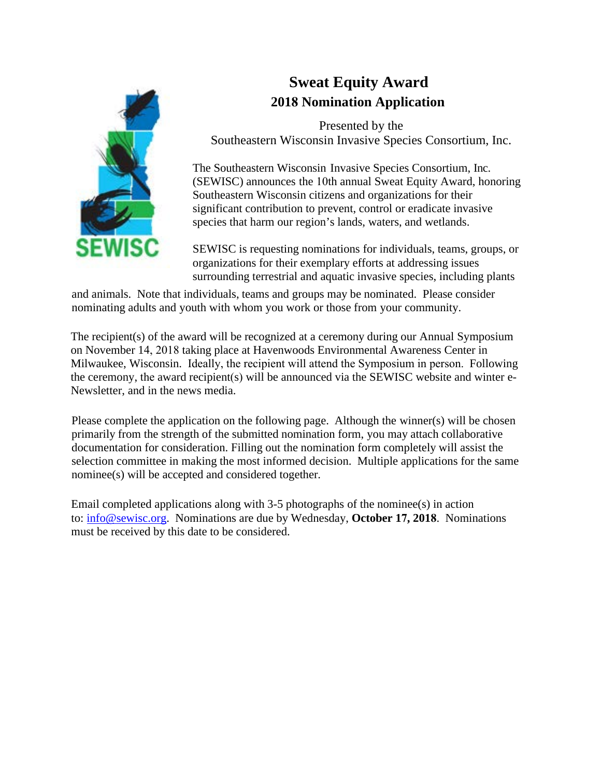

# **Sweat Equity Award 2018 Nomination Application**

Presented by the Southeastern Wisconsin Invasive Species Consortium, Inc.

The Southeastern Wisconsin Invasive Species Consortium, Inc. (SEWISC) announces the 10th annual Sweat Equity Award, honoring Southeastern Wisconsin citizens and organizations for their significant contribution to prevent, control or eradicate invasive species that harm our region's lands, waters, and wetlands.

SEWISC is requesting nominations for individuals, teams, groups, or organizations for their exemplary efforts at addressing issues surrounding terrestrial and aquatic invasive species, including plants

and animals. Note that individuals, teams and groups may be nominated. Please consider nominating adults and youth with whom you work or those from your community.

The recipient(s) of the award will be recognized at a ceremony during our Annual Symposium on November 14, 2018 taking place at Havenwoods Environmental Awareness Center in Milwaukee, Wisconsin. Ideally, the recipient will attend the Symposium in person. Following the ceremony, the award recipient(s) will be announced via the SEWISC website and winter e-Newsletter, and in the news media.

Please complete the application on the following page. Although the winner(s) will be chosen primarily from the strength of the submitted nomination form, you may attach collaborative documentation for consideration. Filling out the nomination form completely will assist the selection committee in making the most informed decision. Multiple applications for the same nominee(s) will be accepted and considered together.

E[mail completed app](mailto:info@sewisc.org)lications along with  $3-5$  photographs of the nominee(s) in action to: info@sewisc.org. Nominations are due by Wednesday, **October 17, 2018**. Nominations must be received by this date to be considered.